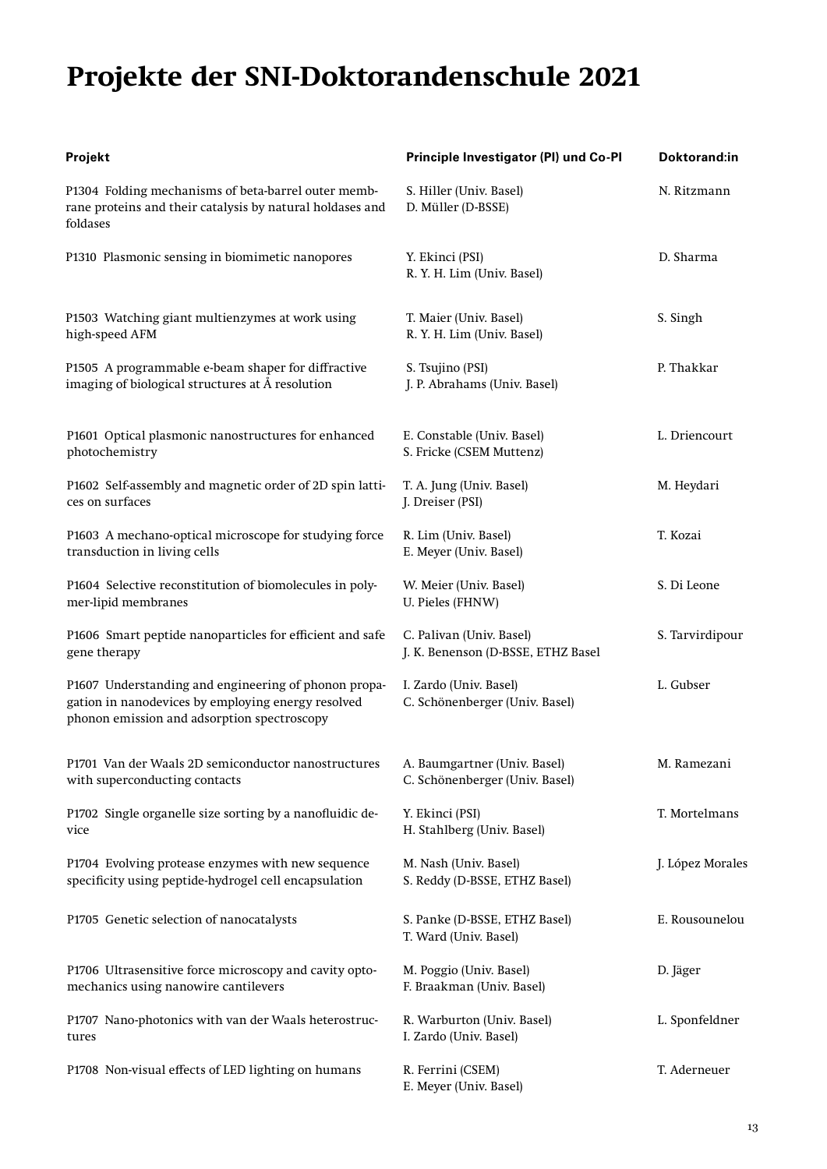## **Projekte der SNI-Doktorandenschule 2021**

| Projekt                                                                                                                                                   | Principle Investigator (PI) und Co-PI                          | Doktorand:in     |
|-----------------------------------------------------------------------------------------------------------------------------------------------------------|----------------------------------------------------------------|------------------|
| P1304 Folding mechanisms of beta-barrel outer memb-<br>rane proteins and their catalysis by natural holdases and<br>foldases                              | S. Hiller (Univ. Basel)<br>D. Müller (D-BSSE)                  | N. Ritzmann      |
| P1310 Plasmonic sensing in biomimetic nanopores                                                                                                           | Y. Ekinci (PSI)<br>R. Y. H. Lim (Univ. Basel)                  | D. Sharma        |
| P1503 Watching giant multienzymes at work using<br>high-speed AFM                                                                                         | T. Maier (Univ. Basel)<br>R. Y. H. Lim (Univ. Basel)           | S. Singh         |
| P1505 A programmable e-beam shaper for diffractive<br>imaging of biological structures at Å resolution                                                    | S. Tsujino (PSI)<br>J. P. Abrahams (Univ. Basel)               | P. Thakkar       |
| P1601 Optical plasmonic nanostructures for enhanced<br>photochemistry                                                                                     | E. Constable (Univ. Basel)<br>S. Fricke (CSEM Muttenz)         | L. Driencourt    |
| P1602 Self-assembly and magnetic order of 2D spin latti-<br>ces on surfaces                                                                               | T. A. Jung (Univ. Basel)<br>J. Dreiser (PSI)                   | M. Heydari       |
| P1603 A mechano-optical microscope for studying force<br>transduction in living cells                                                                     | R. Lim (Univ. Basel)<br>E. Meyer (Univ. Basel)                 | T. Kozai         |
| P1604 Selective reconstitution of biomolecules in poly-<br>mer-lipid membranes                                                                            | W. Meier (Univ. Basel)<br>U. Pieles (FHNW)                     | S. Di Leone      |
| P1606 Smart peptide nanoparticles for efficient and safe<br>gene therapy                                                                                  | C. Palivan (Univ. Basel)<br>J. K. Benenson (D-BSSE, ETHZ Basel | S. Tarvirdipour  |
| P1607 Understanding and engineering of phonon propa-<br>gation in nanodevices by employing energy resolved<br>phonon emission and adsorption spectroscopy | I. Zardo (Univ. Basel)<br>C. Schönenberger (Univ. Basel)       | L. Gubser        |
| P1701 Van der Waals 2D semiconductor nanostructures<br>with superconducting contacts                                                                      | A. Baumgartner (Univ. Basel)<br>C. Schönenberger (Univ. Basel) | M. Ramezani      |
| P1702 Single organelle size sorting by a nanofluidic de-<br>vice                                                                                          | Y. Ekinci (PSI)<br>H. Stahlberg (Univ. Basel)                  | T. Mortelmans    |
| P1704 Evolving protease enzymes with new sequence<br>specificity using peptide-hydrogel cell encapsulation                                                | M. Nash (Univ. Basel)<br>S. Reddy (D-BSSE, ETHZ Basel)         | J. López Morales |
| P1705 Genetic selection of nanocatalysts                                                                                                                  | S. Panke (D-BSSE, ETHZ Basel)<br>T. Ward (Univ. Basel)         | E. Rousounelou   |
| P1706 Ultrasensitive force microscopy and cavity opto-<br>mechanics using nanowire cantilevers                                                            | M. Poggio (Univ. Basel)<br>F. Braakman (Univ. Basel)           | D. Jäger         |
| P1707 Nano-photonics with van der Waals heterostruc-<br>tures                                                                                             | R. Warburton (Univ. Basel)<br>I. Zardo (Univ. Basel)           | L. Sponfeldner   |
| P1708 Non-visual effects of LED lighting on humans                                                                                                        | R. Ferrini (CSEM)<br>E. Meyer (Univ. Basel)                    | T. Aderneuer     |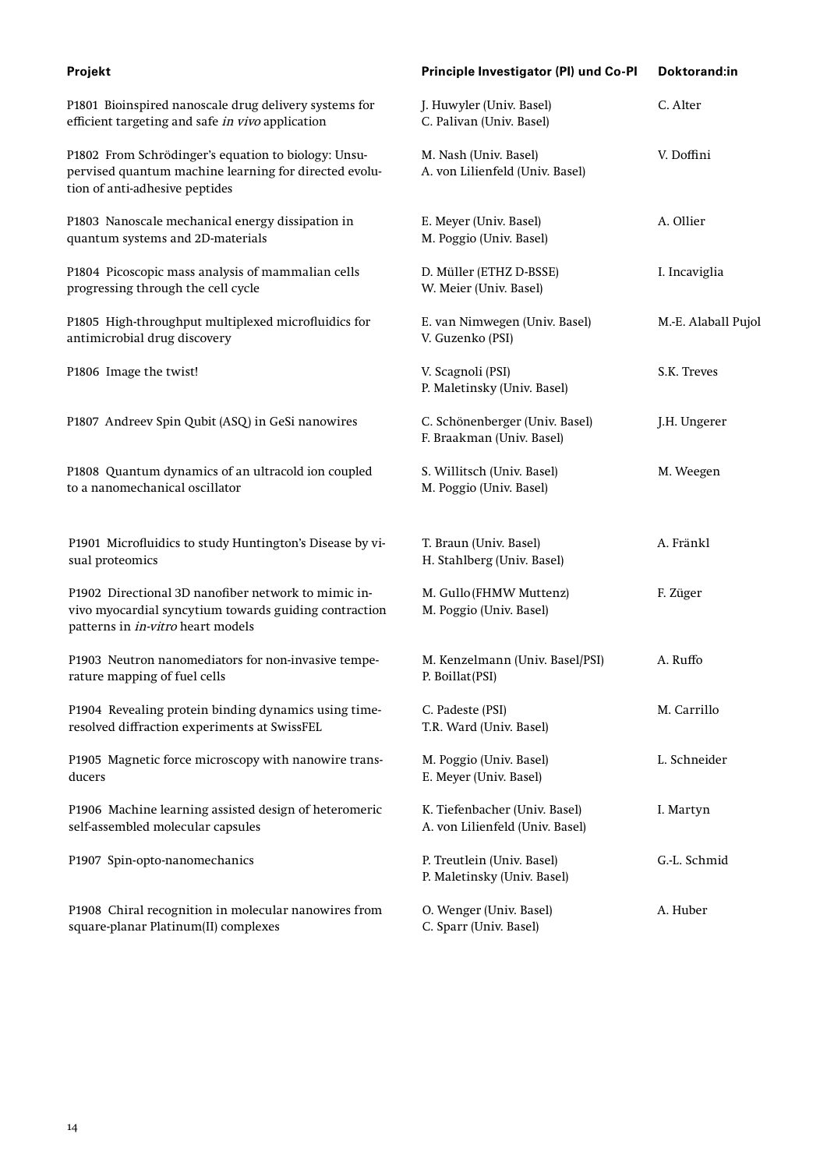| Projekt                                                                                                                                           | Principle Investigator (PI) und Co-PI                            | Doktorand:in        |
|---------------------------------------------------------------------------------------------------------------------------------------------------|------------------------------------------------------------------|---------------------|
| P1801 Bioinspired nanoscale drug delivery systems for<br>efficient targeting and safe in vivo application                                         | J. Huwyler (Univ. Basel)<br>C. Palivan (Univ. Basel)             | C. Alter            |
| P1802 From Schrödinger's equation to biology: Unsu-<br>pervised quantum machine learning for directed evolu-<br>tion of anti-adhesive peptides    | M. Nash (Univ. Basel)<br>A. von Lilienfeld (Univ. Basel)         | V. Doffini          |
| P1803 Nanoscale mechanical energy dissipation in<br>quantum systems and 2D-materials                                                              | E. Meyer (Univ. Basel)<br>M. Poggio (Univ. Basel)                | A. Ollier           |
| P1804 Picoscopic mass analysis of mammalian cells<br>progressing through the cell cycle                                                           | D. Müller (ETHZ D-BSSE)<br>W. Meier (Univ. Basel)                | I. Incaviglia       |
| P1805 High-throughput multiplexed microfluidics for<br>antimicrobial drug discovery                                                               | E. van Nimwegen (Univ. Basel)<br>V. Guzenko (PSI)                | M.-E. Alaball Pujol |
| P1806 Image the twist!                                                                                                                            | V. Scagnoli (PSI)<br>P. Maletinsky (Univ. Basel)                 | S.K. Treves         |
| P1807 Andreev Spin Qubit (ASQ) in GeSi nanowires                                                                                                  | C. Schönenberger (Univ. Basel)<br>F. Braakman (Univ. Basel)      | J.H. Ungerer        |
| P1808 Quantum dynamics of an ultracold ion coupled<br>to a nanomechanical oscillator                                                              | S. Willitsch (Univ. Basel)<br>M. Poggio (Univ. Basel)            | M. Weegen           |
| P1901 Microfluidics to study Huntington's Disease by vi-<br>sual proteomics                                                                       | T. Braun (Univ. Basel)<br>H. Stahlberg (Univ. Basel)             | A. Fränkl           |
| P1902 Directional 3D nanofiber network to mimic in-<br>vivo myocardial syncytium towards guiding contraction<br>patterns in in-vitro heart models | M. Gullo (FHMW Muttenz)<br>M. Poggio (Univ. Basel)               | F. Züger            |
| P1903 Neutron nanomediators for non-invasive tempe-<br>rature mapping of fuel cells                                                               | M. Kenzelmann (Univ. Basel/PSI)<br>P. Boillat (PSI)              | A. Ruffo            |
| P1904 Revealing protein binding dynamics using time-<br>resolved diffraction experiments at SwissFEL                                              | C. Padeste (PSI)<br>T.R. Ward (Univ. Basel)                      | M. Carrillo         |
| P1905 Magnetic force microscopy with nanowire trans-<br>ducers                                                                                    | M. Poggio (Univ. Basel)<br>E. Meyer (Univ. Basel)                | L. Schneider        |
| P1906 Machine learning assisted design of heteromeric<br>self-assembled molecular capsules                                                        | K. Tiefenbacher (Univ. Basel)<br>A. von Lilienfeld (Univ. Basel) | I. Martyn           |
| P1907 Spin-opto-nanomechanics                                                                                                                     | P. Treutlein (Univ. Basel)<br>P. Maletinsky (Univ. Basel)        | G.-L. Schmid        |
| P1908 Chiral recognition in molecular nanowires from<br>square-planar Platinum(II) complexes                                                      | O. Wenger (Univ. Basel)<br>C. Sparr (Univ. Basel)                | A. Huber            |